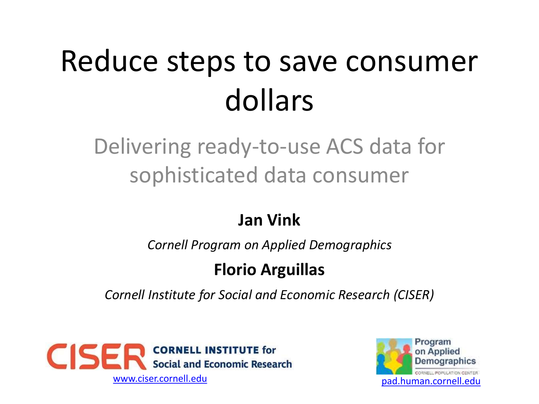# Reduce steps to save consumer dollars

Delivering ready-to-use ACS data for sophisticated data consumer

#### **Jan Vink**

*Cornell Program on Applied Demographics*

#### **Florio Arguillas**

*Cornell Institute for Social and Economic Research (CISER)*



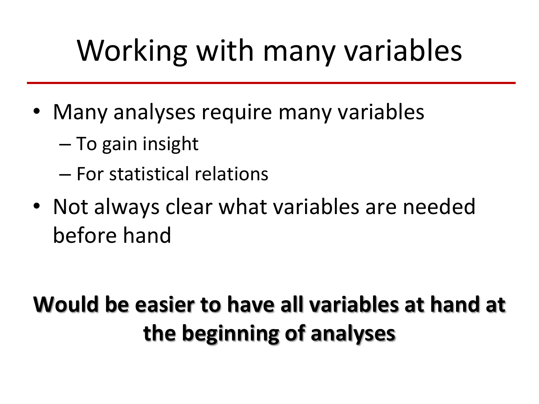# Working with many variables

- Many analyses require many variables
	- To gain insight
	- For statistical relations
- Not always clear what variables are needed before hand

#### **Would be easier to have all variables at hand at the beginning of analyses**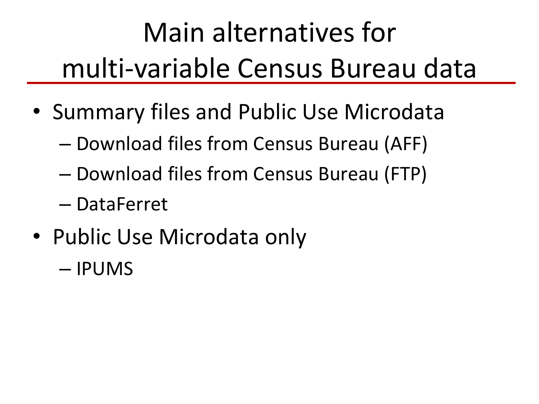# Main alternatives for multi-variable Census Bureau data

- Summary files and Public Use Microdata
	- Download files from Census Bureau (AFF)
	- Download files from Census Bureau (FTP)
	- DataFerret
- Public Use Microdata only
	- IPUMS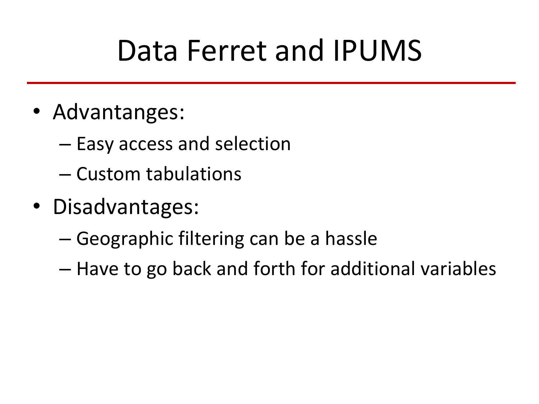## Data Ferret and IPUMS

- Advantanges:
	- Easy access and selection
	- Custom tabulations
- Disadvantages:
	- Geographic filtering can be a hassle
	- Have to go back and forth for additional variables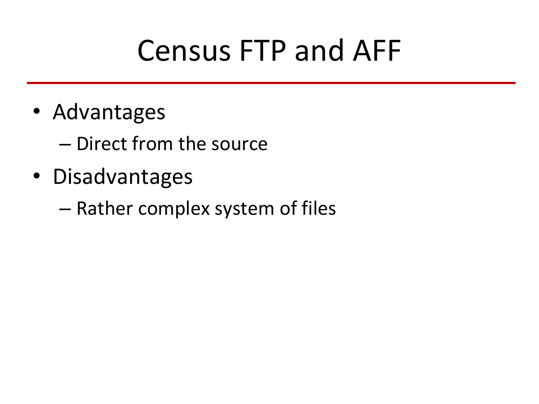## Census FTP and AFF

• Advantages

– Direct from the source

- Disadvantages
	- Rather complex system of files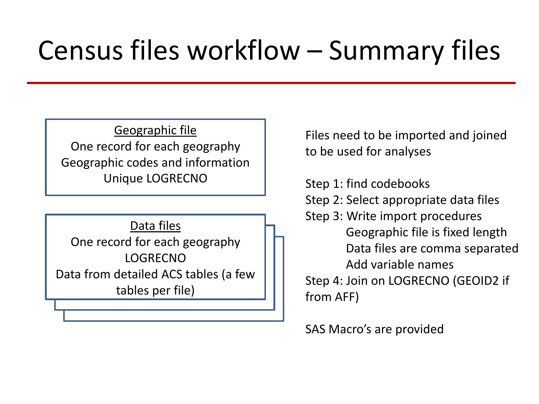### Census files workflow – Summary files

Geographic file One record for each geography Geographic codes and information Unique LOGRECNO

Data files One record for each geography LOGRECNO Data from detailed ACS tables (a few tables per file)

Files need to be imported and joined to be used for analyses

Step 1: find codebooks Step 2: Select appropriate data files Step 3: Write import procedures Geographic file is fixed length Data files are comma separated Add variable names Step 4: Join on LOGRECNO (GEOID2 if from AFF)

SAS Macro's are provided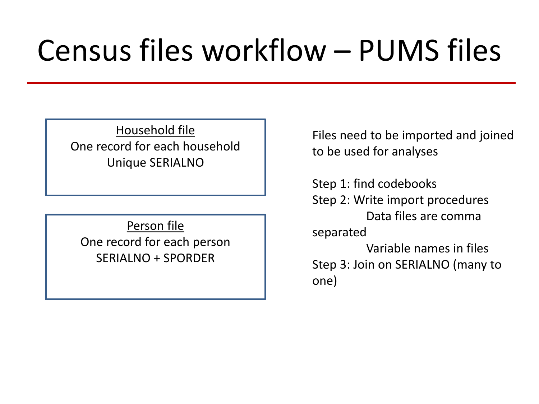# Census files workflow – PUMS files

Household file One record for each household Unique SERIALNO

Person file One record for each person SERIALNO + SPORDER

Files need to be imported and joined to be used for analyses

Step 1: find codebooks Step 2: Write import procedures Data files are comma separated Variable names in files Step 3: Join on SERIALNO (many to one)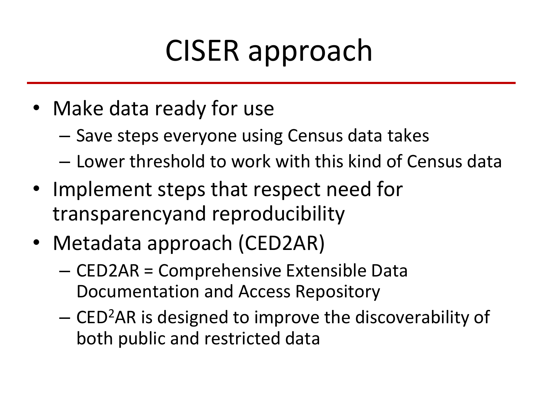# CISER approach

- Make data ready for use
	- Save steps everyone using Census data takes
	- Lower threshold to work with this kind of Census data
- Implement steps that respect need for transparencyand reproducibility
- Metadata approach (CED2AR)
	- CED2AR = Comprehensive Extensible Data Documentation and Access Repository
	- CED<sup>2</sup>AR is designed to improve the discoverability of both public and restricted data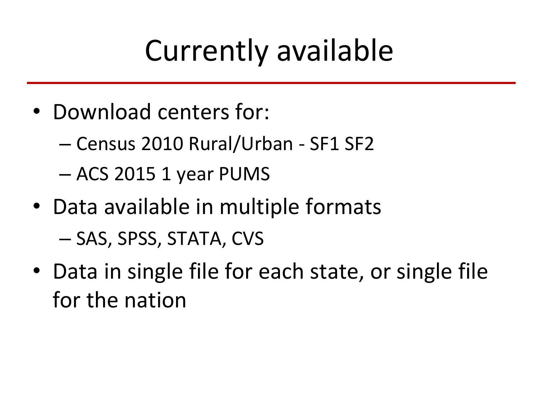# Currently available

- Download centers for:
	- Census 2010 Rural/Urban SF1 SF2
	- ACS 2015 1 year PUMS
- Data available in multiple formats – SAS, SPSS, STATA, CVS
- Data in single file for each state, or single file for the nation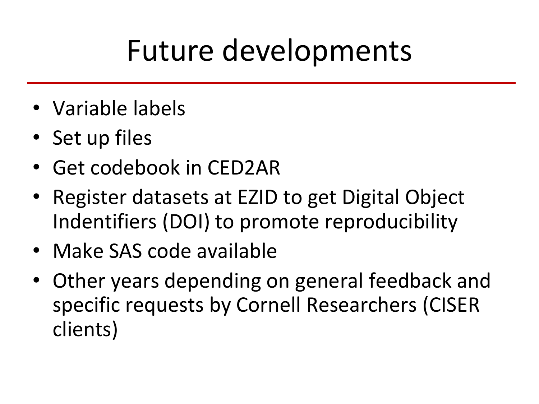# Future developments

- Variable labels
- Set up files
- Get codebook in CED2AR
- Register datasets at EZID to get Digital Object Indentifiers (DOI) to promote reproducibility
- Make SAS code available
- Other years depending on general feedback and specific requests by Cornell Researchers (CISER clients)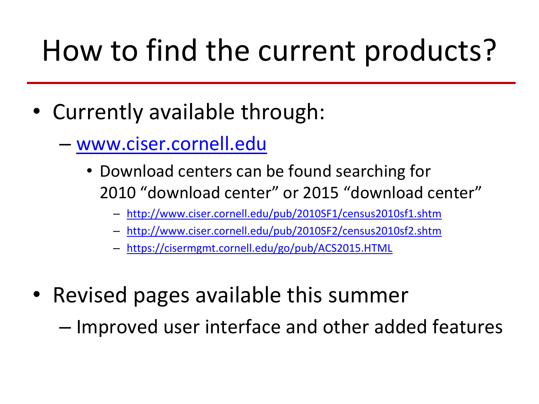# How to find the current products?

- Currently available through:
	- [www.ciser.cornell.edu](http://www.ciser.cornell.edu/)
		- Download centers can be found searching for 2010 "download center" or 2015 "download center"
			- <http://www.ciser.cornell.edu/pub/2010SF1/census2010sf1.shtm>
			- <http://www.ciser.cornell.edu/pub/2010SF2/census2010sf2.shtm>
			- <https://cisermgmt.cornell.edu/go/pub/ACS2015.HTML>
- Revised pages available this summer
	- Improved user interface and other added features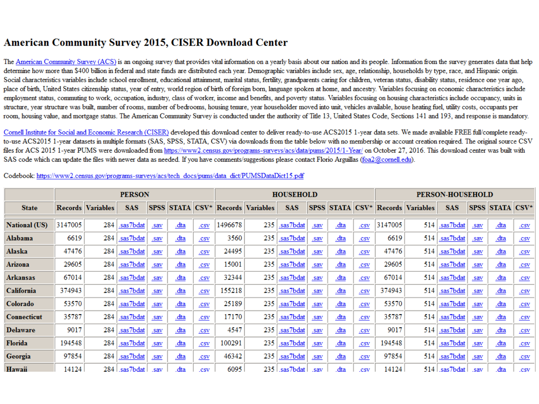#### **American Community Survey 2015, CISER Download Center**

The American Community Survey (ACS) is an ongoing survey that provides vital information on a yearly basis about our nation and its people. Information from the survey generates data that help determine how more than \$400 billion in federal and state funds are distributed each year. Demographic variables include sex, age, relationship, households by type, race, and Hispanic origin. Social characteristics variables include school enrollment, educational attainment, marital status, fertility, grandparents caring for children, veteran status, disability status, residence one year ago, place of birth, United States citizenship status, year of entry, world region of birth of foreign born, language spoken at home, and ancestry. Variables focusing on economic characteristics include employment status, commuting to work, occupation, industry, class of worker, income and benefits, and poverty status. Variables focusing on housing characteristics include occupancy, units in structure, year structure was built, number of rooms, number of bedrooms, housing tenure, year householder moved into unit, vehicles available, house heating fuel, utility costs, occupants per room, housing value, and mortgage status. The American Community Survey is conducted under the authority of Title 13, United States Code, Sections 141 and 193, and response is mandatory.

Cornell Institute for Social and Economic Research (CISER) developed this download center to deliver ready-to-use ACS2015 1-year data sets. We made available FREE full/complete readyto-use ACS2015 1-year datasets in multiple formats (SAS, SPSS, STATA, CSV) via downloads from the table below with no membership or account creation required. The original source CSV files for ACS 2015 1-vear PUMS were downloaded from https://www2.census.gov/programs-surveys/acs/data/pums/2015/1-Year/ on October 27, 2016. This download center was built with SAS code which can update the files with newer data as needed. If you have comments/suggestions please contact Florio Arguillas (foa2@cornell.edu).

|                      | <b>PERSON</b> |                          |                |                           |                |                              | <b>HOUSEHOLD</b> |                                   |                |      |                |      | <b>PERSON-HOUSEHOLD</b> |                                   |                |      |                        |                              |
|----------------------|---------------|--------------------------|----------------|---------------------------|----------------|------------------------------|------------------|-----------------------------------|----------------|------|----------------|------|-------------------------|-----------------------------------|----------------|------|------------------------|------------------------------|
| <b>State</b>         |               | <b>Records Variables</b> | <b>SAS</b>     |                           |                |                              |                  | SPSS STATA CSV* Records Variables | <b>SAS</b>     |      |                |      |                         | SPSS STATA CSV* Records Variables | <b>SAS</b>     |      | <b>SPSS STATA CSV*</b> |                              |
| <b>National (US)</b> | 3147005       | 284                      | .sas7bdat      | .sav                      | <u>dta</u>     | .csv                         | 1496678          | 235                               | .sas7bdat      | .sav | <u>dta</u>     | .CSV | 3147005                 | 514                               | .sas7bdat      | .sav | <u>.dta</u>            | $\underline{. \mathbf{CSV}}$ |
| Alabama              | 6619          | 284                      | sas7bdat       | .sav                      | $dta$          | .CSV                         | 3560             | 235                               | .sas7bdat      | .sav | .dta           | .CSV | 6619                    | 514                               | .sas7bdat      | .sav | <u>dta</u>             | $\underline{\text{.CSV}}$    |
| Alaska               | 47476         | 284                      | .sas7bdat      | .sav                      | $dt$           | .CSV                         | 24495            | 235                               | .sas7bdat      | .sav | <u>.dta</u>    | .CSV | 47476                   | 514                               | .sas7bdat      | .sav | <u>.dta</u>            | $\underline{\text{.CSV}}$    |
| <b>Arizona</b>       | 29605         | 284                      | .sas7bdat      | .sav                      | $\frac{d}{da}$ | .CSV                         | 15001            | 235                               | .sas7bdat      | .sav | <u>.dta</u>    | .CSV | 29605                   | 514                               | .sas7bdat      | .sav | <u>.dta</u>            | .csv                         |
| <b>Arkansas</b>      | 67014         | 284                      | .sas7bdat      | .sav                      | $dt$           | .CSV                         | 32344            | 235                               | .sas7bdat      | .sav | $\frac{d}{da}$ | .CSV | 67014                   | 514                               | .sas7bdat      | .sav | $dta$                  | .CSV                         |
| California           | 374943        | 284                      | .sas7bdat      | .sav                      | $dt$           | .CSV                         | 155218           | 235                               | .sas7bdat      | .sav | <u>dta</u>     | .CSV | 374943                  | 514                               | .sas7bdat      | .sav | <u>.dta</u>            | .CSV                         |
| Colorado             | 53570         | 284                      | .sas7bdat      | .sav                      | <u>dta</u>     | $\underline{. \mathbf{CSV}}$ | 25189            | 235                               | .sas7bdat      | .sav | .dta           | .CSV | 53570                   | 514                               | .sas7bdat      | .sav | <u>dta</u>             | .CSV                         |
| <b>Connecticut</b>   | 35787         | 284                      | .sas7bdat      | .sav                      | $dta$          | .csv                         | 17170            | 235                               | .sas7bdat      | .sav | .dta           | .CSV | 35787                   | 514                               | .sas7bdat      | .sav | <u>.dta</u>            | $\underline{.CSV}$           |
| <b>Delaware</b>      | 9017          | 284                      | .sas7bdat      | .sav                      | $dt$           | .CSV                         | 4547             | 235                               | .sas7bdat      | .sav | <u>.dta</u>    | .CSV | 9017                    | 514                               | .sas7bdat      | .sav | <u>.dta</u>            | .CSV                         |
| Florida              | 194548        | 284                      | .sas7bdat      | $\underline{\text{.sav}}$ | $dt$           | .CSV                         | 100291           | 235                               | .sas7bdat      | .sav | <u>dta</u>     | .CSV | 194548                  | 514                               | .sas7bdat      | .sav | $dta$                  | $\underline{. \mathbf{CSV}}$ |
| Georgia              | 97854         | 284                      | .sas7bdat      | $\underline{\text{.}sav}$ | $dt$           | $\underline{. \mathbf{CSV}}$ | 46342            | 235                               | .sas7bdat      | .sav | .dta           | .CSV | 97854                   | 514                               | .sas7bdat      | .sav | <u>.dta</u>            | $\underline{\text{.CSV}}$    |
| Hawaii               | 14124         |                          | 284   sas7bdat | .sav                      | .dta           | .csv                         | 6095             |                                   | 235   sas7bdat | .sav | .dta           | .csv | 14124                   |                                   | 514   sas7bdat | .sav | .dta                   | .csv                         |

Codebook: https://www2.census.gov/programs-surveys/acs/tech\_docs/pums/data\_dict/PUMSDataDict15.pdf